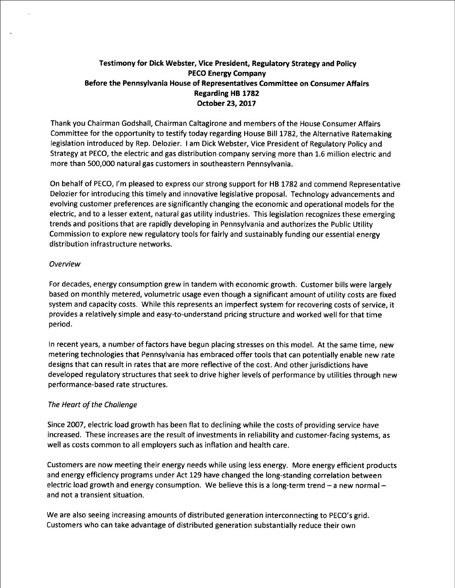# Testimony for Dick Webster, Vice President, Regulatory Strategy and Policy PECO Energy Company Before the Pennsylvania House of Representatives Committee on Consumer Affairs Regarding HB 1782 October 23, 2017

Thank you Chairman Godshall, Chairman Caltagirone and members of the House Consumer Affairs Committee for the opportunity to testify today regarding House Bill 1782, the Alternative Ratemaking legislation introduced by Rep. Delozier. I am Dick Webster, Vice President of Regulatory Policy and Strategy at PECO, the electric and gas distribution company serving more than 1.6 million electric and more than 500,000 natural gas customers in southeastern Pennsylvania.

On behalf of PECO, I'm pleased to express our strong support for HB 1782 and commend Representative Delozier for introducing this timely and innovative legislative proposal. Technology advancements and evolving customer preferences are significantly changing the economic and operational models for the electric, and to a lesser extent, natural gas utility industries. This legislation recognizes these emerging trends and positions that are rapidly developing in Pennsylvania and authorizes the Public Utility Commission to explore new regulatory tools for fairly and sustainably funding our essential energy distribution infrastructure networks.

### Overview

For decades, energy consumption grew in tandem with economic growth. Customer bills were largely based on monthly metered, volumetric usage even though a significant amount of utility costs are fixed system and capacity costs. While this represents an imperfect system for recovering costs of service, it provides a relatively simple and easy-to-understand pricing structure and worked well for that time period

In recent years, a number of factors have begun placing stresses on this model. At the same time, new metering technologies that Pennsylvania has embraced offer tools that can potentially enable new rate designs that can result in rates that are more reflective of the cost. And other jurisdictions have developed regulatory structures that seek to drive higher levels af performance by utilities through new performance-based rate structures.

## The Heart of the Challenge

Since 2007, electric load growth has been flat to declining while the costs of providing service have increased. These increases are the result of investments in reliability and customer-facing systems, as well as costs common to all employers such as inflation and health care.

Customers are now meeting their energy needs while using less energy. More energy efficient products and energy efficiency programs under Act 129 have changed the long-standing correlation between electric load growth and energy consumption. We believe this is a long-term trend  $-$  a new normal  $$ and not a transient situation.

We are also seeing increasing amounts of distributed generation interconnecting to PECO's grid. Customers who can take advantage of distributed generation substantially reduce their own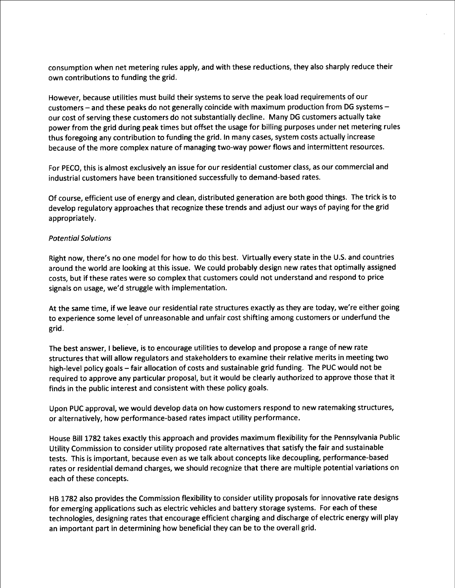consumption when net metering rules apply, and with these reductions, they also sharply reduce their own contributions to funding the grid.

However, because utilities must build their systems to serve the peak load requirements of our customers -- and these peaks do not generally coincide with maximum production from DG systems -our cost of serving these customers do not substantially decline. Many DG customers actually take power from the grid during peak times but offset the usage for billing purposes under net metering rules thus foregoing any contribution to funding the grid. In many cases, system costs actually increase because of the more complex nature of managing two-way power flows and intermittent resources.

For PECO, this is almost exclusively an issue for our residential customer class, as our commercial and industrial customers have been transitioned successfully to demand-based rates.

Of course, efficient use of energy and clean, distributed generation are both good things. The trick is to develop regulatory approaches that recognize these trends and adjust our ways of paying for the grid appropriately.

### Potential Solutions

Right now, there's no one model for how to do this best. Virtually every state in the U.S. and countries around the world are looking at this issue. We could probably design new rates that optimally assigned costs, but if these rates were so complex that customers could not understand and respond to price signals on usage, we'd struggle with implementation.

At the same time, if we leave our residential rate structures exactly as they are today, we're either going to experience some level of unreasonable and unfair cost shifting among customers or underfund the grid

The best answer, I believe, is to encourage utilities to develop and propose a range of new rate structures that will allow regulators and stakeholders to examine their relative merits in meeting two high-level policy goals -- fair allocation of costs and sustainable grid funding. The PUC would not be required to approve any particular proposal, but it would be clearly authorized to approve those that it finds in the public interest and consistent with these policy goals.

Upon PUC approval, we would develop data on how customers respond to new ratemaking structures, or alternatively, how performance-based rates impact utility performance

House Bill 1782 takes exactly this approach and provides maximum flexibility for the Pennsylvania Public Utility Commission to consider utility proposed rate alternatives that satisfy the fair and sustainable tests. This is important, because even as we talk about concepts like decoupling, performance-based rates or residential demand charges, we should recognize that there are multiple potential variations on each of these concepts.

HB 1782 also provides the Commission flexibility to consider utility proposals for innovative rate designs for emerging applications such as electric vehicles and battery storage systems. For each of these technologies, designing rates that encourage efficient charging and discharge of electric energy will play an important part in determining how beneficial they can be to the overall grid.